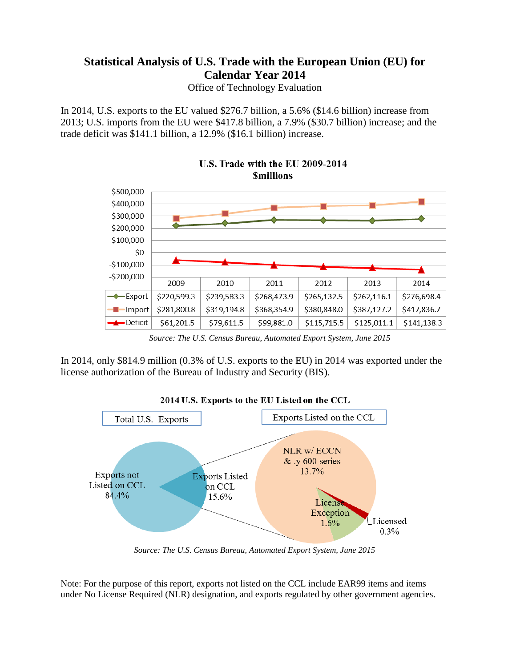# **Statistical Analysis of U.S. Trade with the European Union (EU) for Calendar Year 2014**

Office of Technology Evaluation

In 2014, U.S. exports to the EU valued \$276.7 billion, a 5.6% (\$14.6 billion) increase from 2013; U.S. imports from the EU were \$417.8 billion, a 7.9% (\$30.7 billion) increase; and the trade deficit was \$141.1 billion, a 12.9% (\$16.1 billion) increase.



U.S. Trade with the EU 2009-2014 **Smillions** 

*Source: The U.S. Census Bureau, Automated Export System, June 2015*

In 2014, only \$814.9 million (0.3% of U.S. exports to the EU) in 2014 was exported under the license authorization of the Bureau of Industry and Security (BIS).



*Source: The U.S. Census Bureau, Automated Export System, June 2015*

Note: For the purpose of this report, exports not listed on the CCL include EAR99 items and items under No License Required (NLR) designation, and exports regulated by other government agencies.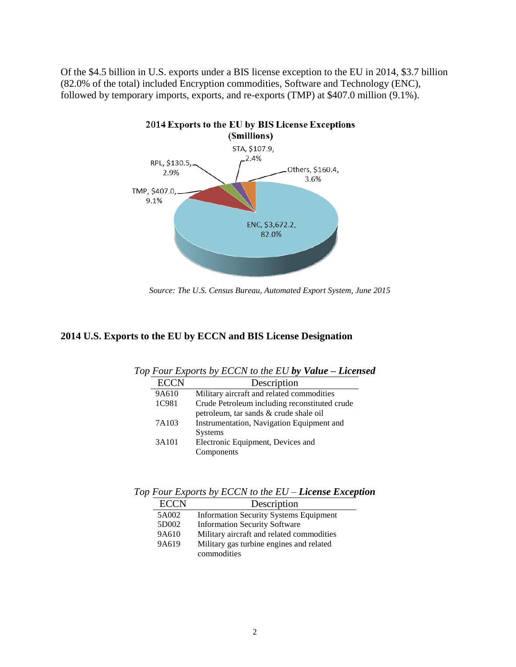Of the \$4.5 billion in U.S. exports under a BIS license exception to the EU in 2014, \$3.7 billion (82.0% of the total) included Encryption commodities, Software and Technology (ENC), followed by temporary imports, exports, and re-exports (TMP) at \$407.0 million (9.1%).



*Source: The U.S. Census Bureau, Automated Export System, June 2015*

#### **2014 U.S. Exports to the EU by ECCN and BIS License Designation**

| Tom Expons by ECCIVIO the EC by value<br>- - - - - - - -                                |
|-----------------------------------------------------------------------------------------|
| Description                                                                             |
| Military aircraft and related commodities                                               |
| Crude Petroleum including reconstituted crude<br>petroleum, tar sands & crude shale oil |
| Instrumentation, Navigation Equipment and<br><b>Systems</b>                             |
| Electronic Equipment, Devices and<br>Components                                         |
|                                                                                         |

*Top Four Exports by ECCN to the EU by Value – Licensed* 

*Top Four Exports by ECCN to the EU – License Exception*

| <b>ECCN</b> | Description                                             |
|-------------|---------------------------------------------------------|
| 5A002       | <b>Information Security Systems Equipment</b>           |
| 5D002       | <b>Information Security Software</b>                    |
| 9A610       | Military aircraft and related commodities               |
| 9A619       | Military gas turbine engines and related<br>commodities |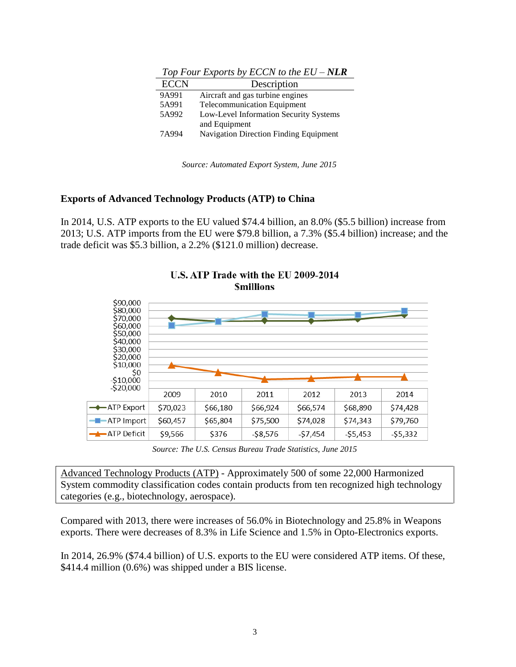| <b>ECCN</b> | Description                                   |
|-------------|-----------------------------------------------|
| 9A991       | Aircraft and gas turbine engines              |
| 5A991       | <b>Telecommunication Equipment</b>            |
| 5A992       | Low-Level Information Security Systems        |
|             | and Equipment                                 |
| 7A994       | <b>Navigation Direction Finding Equipment</b> |

*Top Four Exports by ECCN to the EU – NLR*

*Source: Automated Export System, June 2015*

### **Exports of Advanced Technology Products (ATP) to China**

In 2014, U.S. ATP exports to the EU valued \$74.4 billion, an 8.0% (\$5.5 billion) increase from 2013; U.S. ATP imports from the EU were \$79.8 billion, a 7.3% (\$5.4 billion) increase; and the trade deficit was \$5.3 billion, a 2.2% (\$121.0 million) decrease.



U.S. ATP Trade with the EU 2009-2014 **Smillions** 

*Source: The U.S. Census Bureau Trade Statistics, June 2015*

Advanced Technology Products (ATP) - Approximately 500 of some 22,000 Harmonized System commodity classification codes contain products from ten recognized high technology categories (e.g., biotechnology, aerospace).

Compared with 2013, there were increases of 56.0% in Biotechnology and 25.8% in Weapons exports. There were decreases of 8.3% in Life Science and 1.5% in Opto-Electronics exports.

In 2014, 26.9% (\$74.4 billion) of U.S. exports to the EU were considered ATP items. Of these, \$414.4 million (0.6%) was shipped under a BIS license.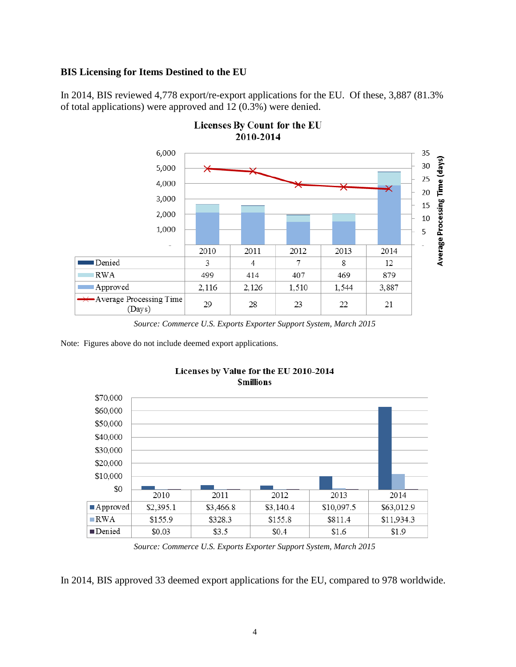## **BIS Licensing for Items Destined to the EU**

In 2014, BIS reviewed 4,778 export/re-export applications for the EU. Of these, 3,887 (81.3% of total applications) were approved and 12 (0.3%) were denied.

Licenses By Count for the EU



*Source: Commerce U.S. Exports Exporter Support System, March 2015*

Note: Figures above do not include deemed export applications.



#### Licenses by Value for the EU 2010-2014 **Smillions**

*Source: Commerce U.S. Exports Exporter Support System, March 2015*

In 2014, BIS approved 33 deemed export applications for the EU, compared to 978 worldwide.